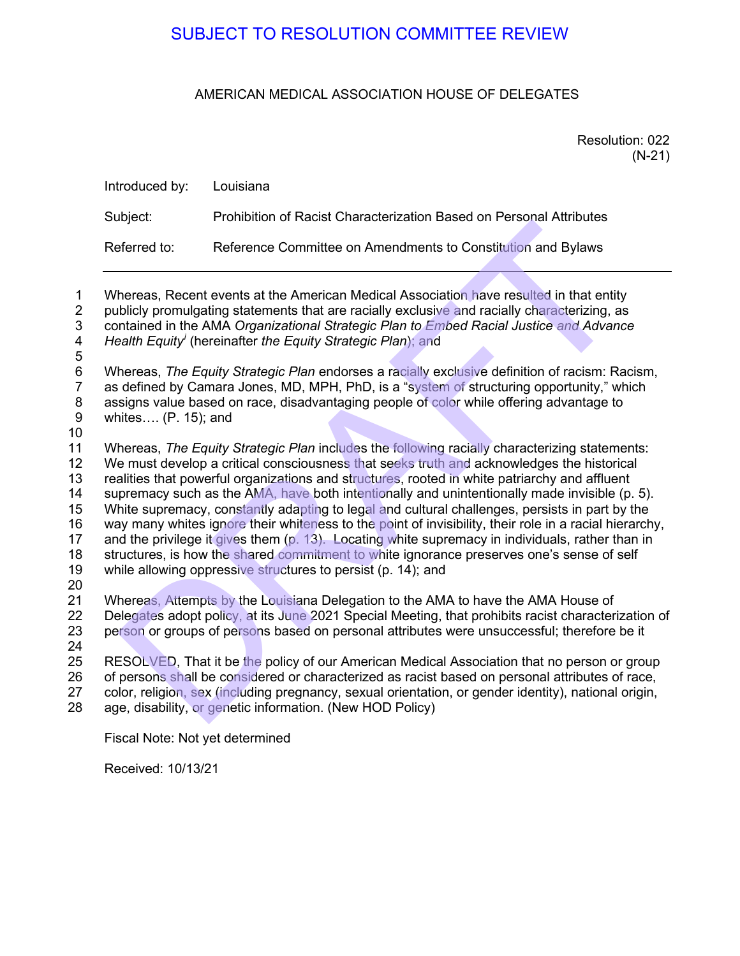# AMERICAN MEDICAL ASSOCIATION HOUSE OF DELEGATES

Resolution: 022 (N-21)

| Introduced by: | Louisiana                                                           |
|----------------|---------------------------------------------------------------------|
| Subject:       | Prohibition of Racist Characterization Based on Personal Attributes |
| Referred to:   | Reference Committee on Amendments to Constitution and Bylaws        |

1 Whereas, Recent events at the American Medical Association have resulted in that entity 2 publicly promulgating statements that are racially exclusive and racially characterizing, as<br>3 contained in the AMA Organizational Strategic Plan to Embed Racial Justice and Advance 3 contained in the AMA *Organizational Strategic Plan to Embed Racial Justice and Advance Health Equity<sup><i>i*</sup> (hereinafter *the Equity Strategic Plan)*; and

 5 6 Whereas, *The Equity Strategic Plan* endorses a racially exclusive definition of racism: Racism, as defined by Camara Jones, MD, MPH, PhD, is a "system of structuring opportunity," which 8 assigns value based on race, disadvantaging people of color while offering advantage to 9 whites…. (P. 15); and

10

11 Whereas, *The Equity Strategic Plan* includes the following racially characterizing statements: 12 We must develop a critical consciousness that seeks truth and acknowledges the historical 13 realities that powerful organizations and structures, rooted in white patriarchy and affluent 14 supremacy such as the AMA, have both intentionally and unintentionally made invisible (p. 5).<br>15 White supremacy, constantly adapting to legal and cultural challenges, persists in part by the White supremacy, constantly adapting to legal and cultural challenges, persists in part by the 16 way many whites ignore their whiteness to the point of invisibility, their role in a racial hierarchy, 17 and the privilege it gives them (p. 13). Locating white supremacy in individuals, rather than in 18 structures, is how the shared commitment to white ignorance preserves one's sense of self 19 while allowing oppressive structures to persist (p. 14); and 20 21 Whereas, Attempts by the Louisiana Delegation to the AMA to have the AMA House of 22 Delegates adopt policy, at its June 2021 Special Meeting, that prohibits racist characteri SUBJECT TO RESOLUTION COMMITTEE REVIEW<br>
AMERICAN MEDICAL ASSOCIATION HOUSE OF DELEGATES<br>
Resoluti<br>
roduced by:<br>
Louisiana<br>
biject:<br>
Prohibition of Racist Characterization Based on Personal Attributes<br>
ferred to:<br>
Reference

22 Delegates adopt policy, at its June 2021 Special Meeting, that prohibits racist characterization of 23 person or groups of persons based on personal attributes were unsuccessful: therefore be it person or groups of persons based on personal attributes were unsuccessful; therefore be it

24

25 RESOLVED, That it be the policy of our American Medical Association that no person or group of persons shall be considered or characterized as racist based on personal attributes of race, color, religion, sex (including pregnancy, sexual orientation, or gender identity), national origin, age, disability, or genetic information. (New HOD Policy)

Fiscal Note: Not yet determined

Received: 10/13/21